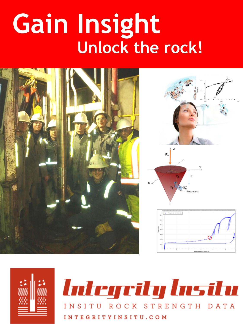# **Gain Insight Unlock the rock!**





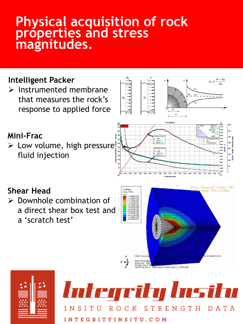## **Physical acquisition of rock properties and stress magnitudes.**

#### **Intelligent Packer** ➢ Instrumented membrane  $\sigma_i$ that measures the rock's response to applied force G-Function **Mini-Frac** 0.554<br>38.74  $\triangleright$  Low volume, high pressure: 0.554 fluid injection  $0.70$ 0.90 1.00 Step: Penetrat Frame: 565 **Shear Head** 3. Mises Time: 870.256348 Avg: 75% ➢ Downhole combination of a direct shear box test and a 'scratch test'





Deformation Scale Factor: +1.000e+00

145 30 BST 2015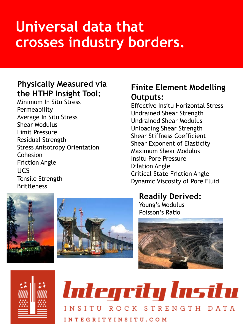# **Universal data that crosses industry borders.**

#### **Physically Measured via the HTHP Insight Tool:**

Minimum In Situ Stress Permeability Average In Situ Stress Shear Modulus Limit Pressure Residual Strength Stress Anisotropy Orientation Cohesion Friction Angle UCS Tensile Strength Brittleness

#### **Finite Element Modelling Outputs:**

Effective Insitu Horizontal Stress Undrained Shear Strength Undrained Shear Modulus Unloading Shear Strength Shear Stiffness Coefficient Shear Exponent of Elasticity Maximum Shear Modulus Insitu Pore Pressure Dilation Angle Critical State Friction Angle Dynamic Viscosity of Pore Fluid

#### **Readily Derived:**

Young's Modulus Poisson's Ratio





Interprity Insilu INSITU ROCK STRENGTH DATA INTEGRITYINSITU.COM